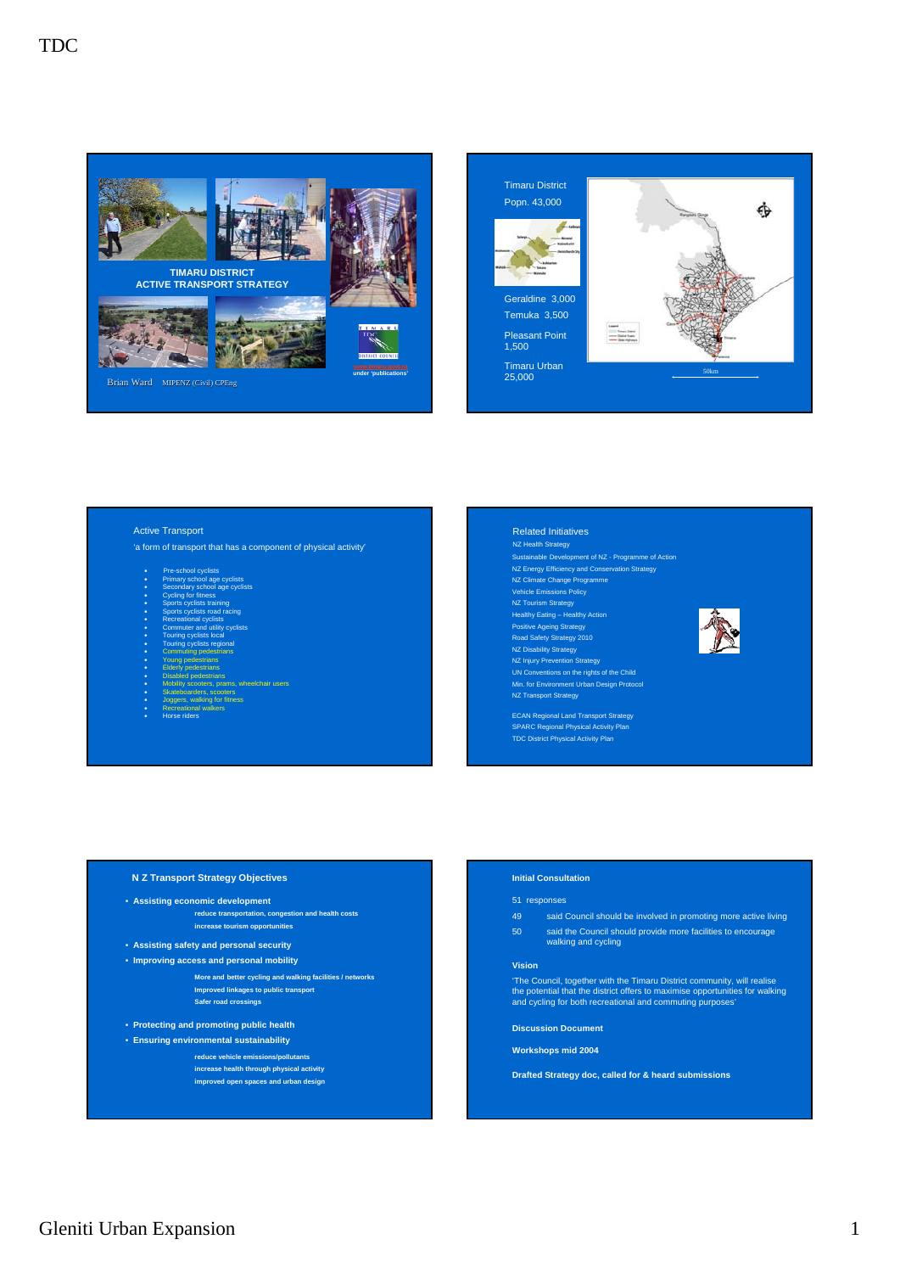



## Active Transport

- 'a form of transport that has a component of physical activity'
	- Pre-school cyclists
- Primary school age cyclists Secondary school age cyclists
- Cycling for fitness
- Sports cyclists training
- Sports cyclists road racing • Recreational cyclists
- Commuter and utility cyclists
- Touring cyclists local • Touring cyclists regional
- Commuting pedestrians
- Young pedestrians • Elderly pedestrians
- Disabled pedestrians
- ns, wheelchair users • Skateboarders, scooters
- Joggers, walking for fitness
- Recreational walkers • Horse riders

# Related Initiatives

Sustainable Development of NZ - Programme of Action NZ Energy Efficiency and Conservation Strategy NZ Climate Change Programme Vehicle Emissions Policy NZ Tourism Strategy **NZ Health Strategy** 

Healthy Eating – Healthy Action

Positive Ageing Strategy Road Safety Strategy 2010 NZ Disability Strategy

- NZ Injury Prevention Strategy UN Conventions on the rights of the Child Min. for Environment Urban Design Protocol NZ Transport Strategy
- ECAN Regional Land Transport Strategy SPARC Regional Physical Activity Plan TDC District Physical Activity Plan

#### **N Z Transport Strategy Objectives**

# • **Assisting economic development**

**reduce transportation, congestion and health costs increase tourism opportunities**

- **Assisting safety and personal security** • **Improving access and personal mobility**
	- **More and better cycling and walking facilities / networks Improved linkages to public transport Safer road crossings**
- **Protecting and promoting public health**
- **Ensuring environmental sustainability**
	- **reduce vehicle emissions/pollutants**
		- **increase health through physical activity improved open spaces and urban design**

#### **Initial Consultation**

#### 51 responses

49 said Council should be involved in promoting more active living 50 said the Council should provide more facilities to encourage walking and cycling

#### **Vision**

'The Council, together with the Timaru District community, will realise the potential that the district offers to maximise opportunities for walking and cycling for both recreational and commuting purposes'

**Discussion Document**

**Workshops mid 2004**

**Drafted Strategy doc, called for & heard submissions**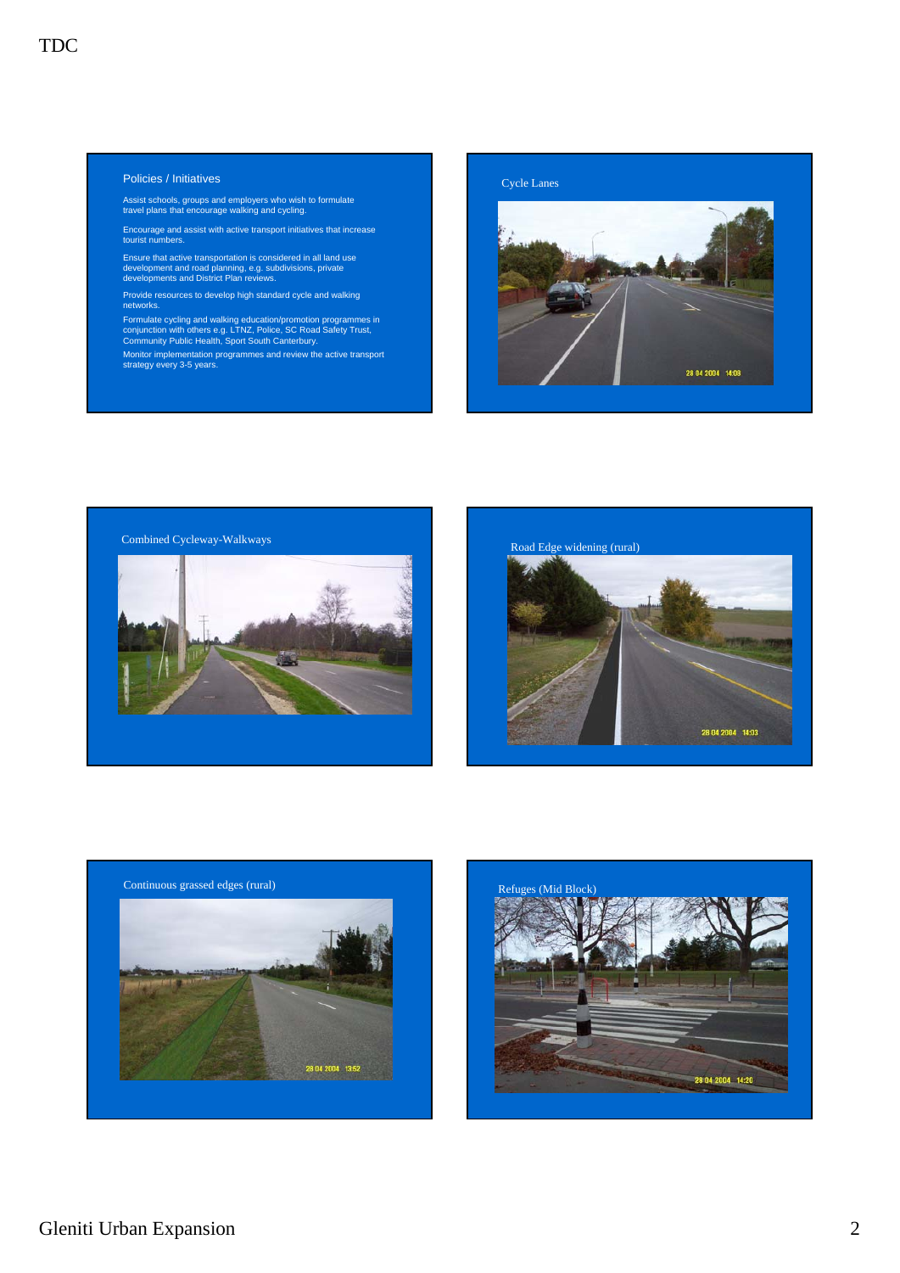## Policies / Initiatives

Assist schools, groups and employers who wish to formulate travel plans that encourage walking and cycling.

Encourage and assist with active transport initiatives that increase tourist numbers.

Ensure that active transportation is considered in all land use development and road planning, e.g. subdivisions, private developments and District Plan reviews.

Provide resources to develop high standard cycle and walking networks.

Formulate cycling and walking education/promotion programmes in conjunction with others e.g. LTNZ, Police, SC Road Safety Trust, Community Public Health, Sport South Canterbury.

Monitor implementation programmes and review the active transport strategy every 3-5 years.









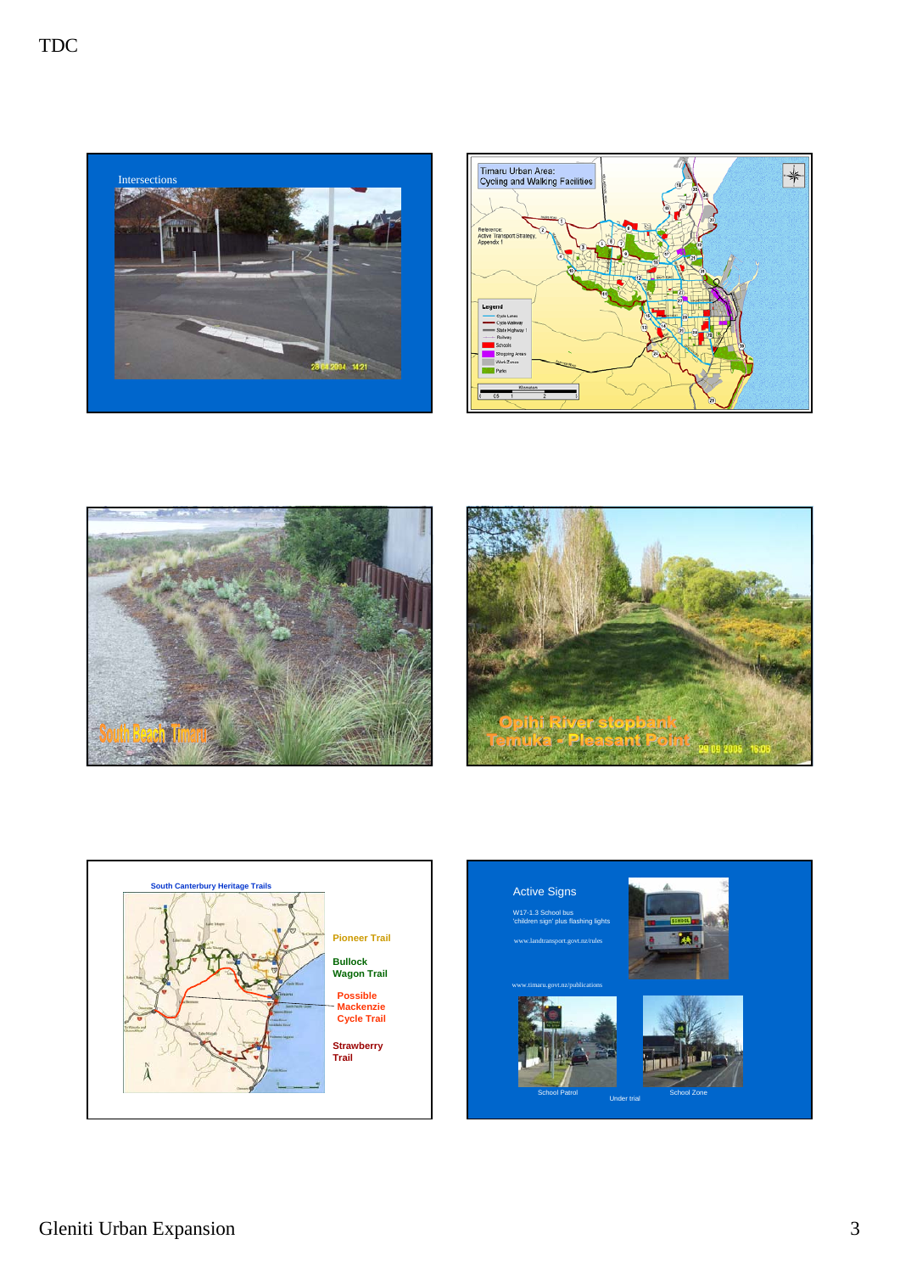